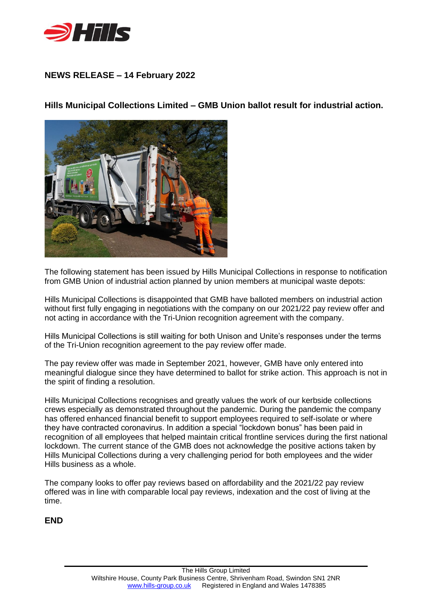

## **NEWS RELEASE – 14 February 2022**

**Hills Municipal Collections Limited – GMB Union ballot result for industrial action.**



The following statement has been issued by Hills Municipal Collections in response to notification from GMB Union of industrial action planned by union members at municipal waste depots:

Hills Municipal Collections is disappointed that GMB have balloted members on industrial action without first fully engaging in negotiations with the company on our 2021/22 pay review offer and not acting in accordance with the Tri-Union recognition agreement with the company.

Hills Municipal Collections is still waiting for both Unison and Unite's responses under the terms of the Tri-Union recognition agreement to the pay review offer made.

The pay review offer was made in September 2021, however, GMB have only entered into meaningful dialogue since they have determined to ballot for strike action. This approach is not in the spirit of finding a resolution.

Hills Municipal Collections recognises and greatly values the work of our kerbside collections crews especially as demonstrated throughout the pandemic. During the pandemic the company has offered enhanced financial benefit to support employees required to self-isolate or where they have contracted coronavirus. In addition a special "lockdown bonus" has been paid in recognition of all employees that helped maintain critical frontline services during the first national lockdown. The current stance of the GMB does not acknowledge the positive actions taken by Hills Municipal Collections during a very challenging period for both employees and the wider Hills business as a whole.

The company looks to offer pay reviews based on affordability and the 2021/22 pay review offered was in line with comparable local pay reviews, indexation and the cost of living at the time.

**END**